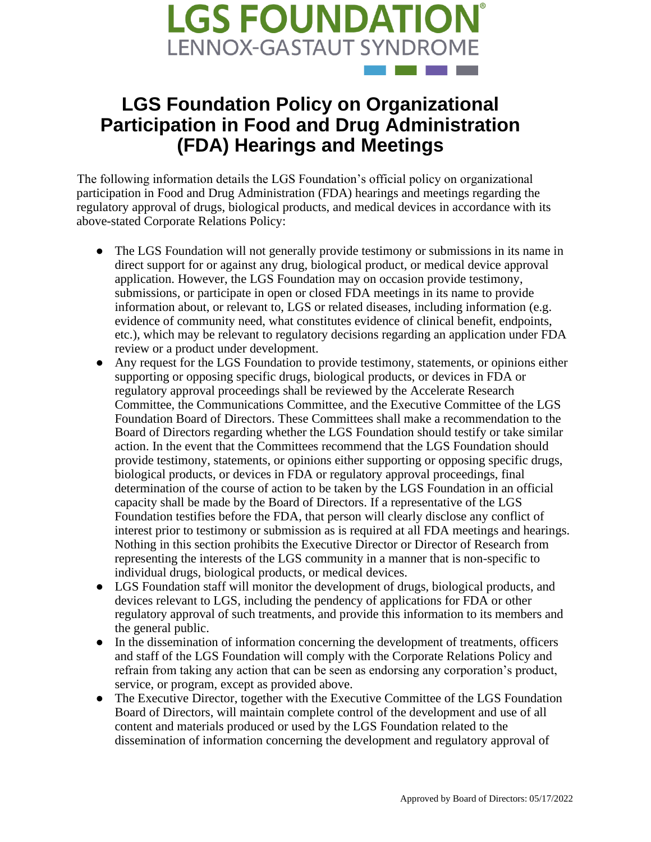

## **LGS Foundation Policy on Organizational Participation in Food and Drug Administration (FDA) Hearings and Meetings**

The following information details the LGS Foundation's official policy on organizational participation in Food and Drug Administration (FDA) hearings and meetings regarding the regulatory approval of drugs, biological products, and medical devices in accordance with its above-stated Corporate Relations Policy:

- The LGS Foundation will not generally provide testimony or submissions in its name in direct support for or against any drug, biological product, or medical device approval application. However, the LGS Foundation may on occasion provide testimony, submissions, or participate in open or closed FDA meetings in its name to provide information about, or relevant to, LGS or related diseases, including information (e.g. evidence of community need, what constitutes evidence of clinical benefit, endpoints, etc.), which may be relevant to regulatory decisions regarding an application under FDA review or a product under development.
- Any request for the LGS Foundation to provide testimony, statements, or opinions either supporting or opposing specific drugs, biological products, or devices in FDA or regulatory approval proceedings shall be reviewed by the Accelerate Research Committee, the Communications Committee, and the Executive Committee of the LGS Foundation Board of Directors. These Committees shall make a recommendation to the Board of Directors regarding whether the LGS Foundation should testify or take similar action. In the event that the Committees recommend that the LGS Foundation should provide testimony, statements, or opinions either supporting or opposing specific drugs, biological products, or devices in FDA or regulatory approval proceedings, final determination of the course of action to be taken by the LGS Foundation in an official capacity shall be made by the Board of Directors. If a representative of the LGS Foundation testifies before the FDA, that person will clearly disclose any conflict of interest prior to testimony or submission as is required at all FDA meetings and hearings. Nothing in this section prohibits the Executive Director or Director of Research from representing the interests of the LGS community in a manner that is non-specific to individual drugs, biological products, or medical devices.
- LGS Foundation staff will monitor the development of drugs, biological products, and devices relevant to LGS, including the pendency of applications for FDA or other regulatory approval of such treatments, and provide this information to its members and the general public.
- In the dissemination of information concerning the development of treatments, officers and staff of the LGS Foundation will comply with the Corporate Relations Policy and refrain from taking any action that can be seen as endorsing any corporation's product, service, or program, except as provided above.
- The Executive Director, together with the Executive Committee of the LGS Foundation Board of Directors, will maintain complete control of the development and use of all content and materials produced or used by the LGS Foundation related to the dissemination of information concerning the development and regulatory approval of